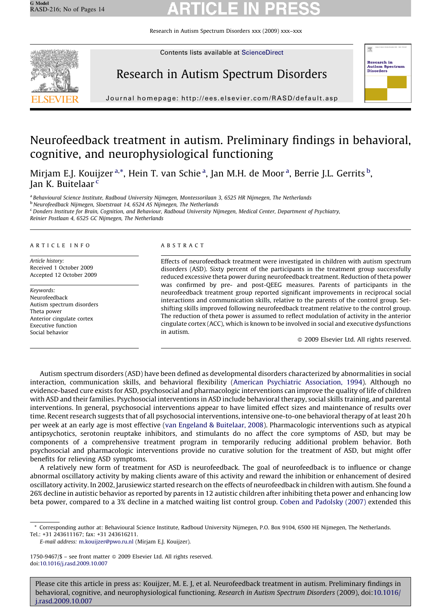Research in Autism Spectrum Disorders xxx (2009) xxx–xxx



Contents lists available at [ScienceDirect](http://www.sciencedirect.com/science/journal/17509467)

# Research in Autism Spectrum Disorders



Journal homepage: http://ees.elsevier.com/RASD/default.asp

# Neurofeedback treatment in autism. Preliminary findings in behavioral, cognitive, and neurophysiological functioning

Mirjam E.J. Kouijzer <sup>a,\*</sup>, Hein T. van Schie <sup>a</sup>, Jan M.H. de Moor <sup>a</sup>, Berrie J.L. Gerrits <sup>b</sup>, Jan K. Buitelaar<sup>c</sup>

a Behavioural Science Institute, Radboud University Nijmegen, Montessorilaan 3, 6525 HR Nijmegen, The Netherlands

<sup>b</sup> Neurofeedback Nijmegen, Sloetstraat 14, 6524 AS Nijmegen, The Netherlands

<sup>c</sup> Donders Institute for Brain, Cognition, and Behaviour, Radboud University Nijmegen, Medical Center, Department of Psychiatry, Reinier Postlaan 4, 6525 GC Nijmegen, The Netherlands

#### ARTICLE INFO

Article history: Received 1 October 2009 Accepted 12 October 2009

Keywords: Neurofeedback Autism spectrum disorders Theta power Anterior cingulate cortex Executive function Social behavior

#### ABSTRACT

Effects of neurofeedback treatment were investigated in children with autism spectrum disorders (ASD). Sixty percent of the participants in the treatment group successfully reduced excessive theta power during neurofeedback treatment. Reduction of theta power was confirmed by pre- and post-QEEG measures. Parents of participants in the neurofeedback treatment group reported significant improvements in reciprocal social interactions and communication skills, relative to the parents of the control group. Setshifting skills improved following neurofeedback treatment relative to the control group. The reduction of theta power is assumed to reflect modulation of activity in the anterior cingulate cortex (ACC), which is known to be involved in social and executive dysfunctions in autism.

- 2009 Elsevier Ltd. All rights reserved.

Autism spectrum disorders (ASD) have been defined as developmental disorders characterized by abnormalities in social interaction, communication skills, and behavioral flexibility ([American Psychiatric Association, 1994](#page-12-0)). Although no evidence-based cure exists for ASD, psychosocial and pharmacologic interventions can improve the quality of life of children with ASD and their families. Psychosocial interventions in ASD include behavioral therapy, social skills training, and parental interventions. In general, psychosocial interventions appear to have limited effect sizes and maintenance of results over time. Recent research suggests that of all psychosocial interventions, intensive one-to-one behavioral therapy of at least 20 h per week at an early age is most effective [\(van Engeland & Buitelaar, 2008\)](#page-12-0). Pharmacologic interventions such as atypical antipsychotics, serotonin reuptake inhibitors, and stimulants do no affect the core symptoms of ASD, but may be components of a comprehensive treatment program in temporarily reducing additional problem behavior. Both psychosocial and pharmacologic interventions provide no curative solution for the treatment of ASD, but might offer benefits for relieving ASD symptoms.

A relatively new form of treatment for ASD is neurofeedback. The goal of neurofeedback is to influence or change abnormal oscillatory activity by making clients aware of this activity and reward the inhibition or enhancement of desired oscillatory activity. In 2002, Jarusiewicz started research on the effects of neurofeedback in children with autism. She found a 26% decline in autistic behavior as reported by parents in 12 autistic children after inhibiting theta power and enhancing low beta power, compared to a 3% decline in a matched waiting list control group. [Coben and Padolsky \(2007\)](#page-12-0) extended this

<sup>\*</sup> Corresponding author at: Behavioural Science Institute, Radboud University Nijmegen, P.O. Box 9104, 6500 HE Nijmegen, The Netherlands. Tel.: +31 243611167; fax: +31 243616211.

E-mail address: [m.kouijzer@pwo.ru.nl](mailto:m.kouijzer@pwo.ru.nl) (Mirjam E.J. Kouijzer).

<sup>1750-9467/\$ –</sup> see front matter © 2009 Elsevier Ltd. All rights reserved. doi:[10.1016/j.rasd.2009.10.007](http://dx.doi.org/10.1016/j.rasd.2009.10.007)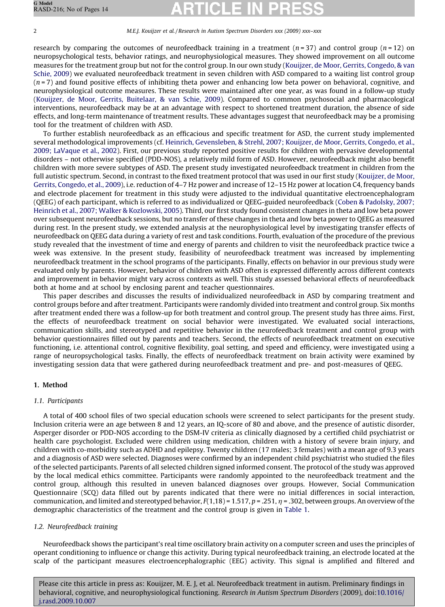research by comparing the outcomes of neurofeedback training in a treatment ( $n = 37$ ) and control group ( $n = 12$ ) on neuropsychological tests, behavior ratings, and neurophysiological measures. They showed improvement on all outcome measures for the treatment group but not for the control group. In our own study [\(Kouijzer, de Moor, Gerrits, Congedo, & van](#page-12-0) [Schie, 2009\)](#page-12-0) we evaluated neurofeedback treatment in seven children with ASD compared to a waiting list control group  $(n=7)$  and found positive effects of inhibiting theta power and enhancing low beta power on behavioral, cognitive, and neurophysiological outcome measures. These results were maintained after one year, as was found in a follow-up study [\(Kouijzer, de Moor, Gerrits, Buitelaar, & van Schie, 2009\)](#page-12-0). Compared to common psychosocial and pharmacological interventions, neurofeedback may be at an advantage with respect to shortened treatment duration, the absence of side effects, and long-term maintenance of treatment results. These advantages suggest that neurofeedback may be a promising tool for the treatment of children with ASD.

To further establish neurofeedback as an efficacious and specific treatment for ASD, the current study implemented several methodological improvements (cf. [Heinrich, Gevensleben, & Strehl, 2007; Kouijzer, de Moor, Gerrits, Congedo, et al.,](#page-12-0) [2009; LaVaque et al., 2002](#page-12-0)). First, our previous study reported positive results for children with pervasive developmental disorders – not otherwise specified (PDD-NOS), a relatively mild form of ASD. However, neurofeedback might also benefit children with more severe subtypes of ASD. The present study investigated neurofeedback treatment in children from the full autistic spectrum. Second, in contrast to the fixed treatment protocol that was used in our first study ([Kouijzer, de Moor,](#page-12-0) [Gerrits, Congedo, et al., 2009\)](#page-12-0), i.e. reduction of 4–7 Hz power and increase of 12–15 Hz power at location C4, frequency bands and electrode placement for treatment in this study were adjusted to the individual quantitative electroencephalogram (QEEG) of each participant, which is referred to as individualized or QEEG-guided neurofeedback ([Coben & Padolsky, 2007;](#page-12-0) [Heinrich et al., 2007; Walker & Kozlowski, 2005\)](#page-12-0). Third, our first study found consistent changes in theta and low beta power over subsequent neurofeedback sessions, but no transfer of these changes in theta and low beta power to QEEG as measured during rest. In the present study, we extended analysis at the neurophysiological level by investigating transfer effects of neurofeedback on QEEG data during a variety of rest and task conditions. Fourth, evaluation of the procedure of the previous study revealed that the investment of time and energy of parents and children to visit the neurofeedback practice twice a week was extensive. In the present study, feasibility of neurofeedback treatment was increased by implementing neurofeedback treatment in the school programs of the participants. Finally, effects on behavior in our previous study were evaluated only by parents. However, behavior of children with ASD often is expressed differently across different contexts and improvement in behavior might vary across contexts as well. This study assessed behavioral effects of neurofeedback both at home and at school by enclosing parent and teacher questionnaires.

This paper describes and discusses the results of individualized neurofeedback in ASD by comparing treatment and control groups before and after treatment. Participants were randomly divided into treatment and control group. Six months after treatment ended there was a follow-up for both treatment and control group. The present study has three aims. First, the effects of neurofeedback treatment on social behavior were investigated. We evaluated social interactions, communication skills, and stereotyped and repetitive behavior in the neurofeedback treatment and control group with behavior questionnaires filled out by parents and teachers. Second, the effects of neurofeedback treatment on executive functioning, i.e. attentional control, cognitive flexibility, goal setting, and speed and efficiency, were investigated using a range of neuropsychological tasks. Finally, the effects of neurofeedback treatment on brain activity were examined by investigating session data that were gathered during neurofeedback treatment and pre- and post-measures of QEEG.

# 1. Method

# 1.1. Participants

A total of 400 school files of two special education schools were screened to select participants for the present study. Inclusion criteria were an age between 8 and 12 years, an IQ-score of 80 and above, and the presence of autistic disorder, Asperger disorder or PDD-NOS according to the DSM-IV criteria as clinically diagnosed by a certified child psychiatrist or health care psychologist. Excluded were children using medication, children with a history of severe brain injury, and children with co-morbidity such as ADHD and epilepsy. Twenty children (17 males; 3 females) with a mean age of 9.3 years and a diagnosis of ASD were selected. Diagnoses were confirmed by an independent child psychiatrist who studied the files of the selected participants. Parents of all selected children signed informed consent. The protocol of the study was approved by the local medical ethics committee. Participants were randomly appointed to the neurofeedback treatment and the control group, although this resulted in uneven balanced diagnoses over groups. However, Social Communication Questionnaire (SCQ) data filled out by parents indicated that there were no initial differences in social interaction, communication, and limited and stereotyped behavior,  $F(1,18) = 1.517$ ,  $p = .251$ ,  $\eta = .302$ , between groups. An overview of the demographic characteristics of the treatment and the control group is given in [Table 1.](#page-2-0)

# 1.2. Neurofeedback training

Neurofeedback shows the participant's real time oscillatory brain activity on a computer screen and uses the principles of operant conditioning to influence or change this activity. During typical neurofeedback training, an electrode located at the scalp of the participant measures electroencephalographic (EEG) activity. This signal is amplified and filtered and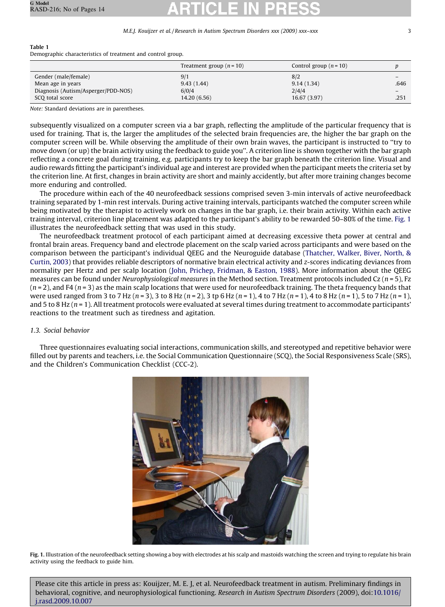### <span id="page-2-0"></span>Table 1

Demographic characteristics of treatment and control group.

|                                     | Treatment group $(n = 10)$ | Control group $(n = 10)$ |      |
|-------------------------------------|----------------------------|--------------------------|------|
| Gender (male/female)                | 9/1                        | 8/2                      |      |
| Mean age in years                   | 9.43(1.44)                 | 9.14(1.34)               | .646 |
| Diagnosis (Autism/Asperger/PDD-NOS) | 6/0/4                      | 2/4/4                    |      |
| SCO total score                     | 14.20 (6.56)               | 16.67 (3.97)             | .251 |

Note: Standard deviations are in parentheses.

subsequently visualized on a computer screen via a bar graph, reflecting the amplitude of the particular frequency that is used for training. That is, the larger the amplitudes of the selected brain frequencies are, the higher the bar graph on the computer screen will be. While observing the amplitude of their own brain waves, the participant is instructed to ''try to move down (or up) the brain activity using the feedback to guide you''. A criterion line is shown together with the bar graph reflecting a concrete goal during training, e.g. participants try to keep the bar graph beneath the criterion line. Visual and audio rewards fitting the participant's individual age and interest are provided when the participant meets the criteria set by the criterion line. At first, changes in brain activity are short and mainly accidently, but after more training changes become more enduring and controlled.

The procedure within each of the 40 neurofeedback sessions comprised seven 3-min intervals of active neurofeedback training separated by 1-min rest intervals. During active training intervals, participants watched the computer screen while being motivated by the therapist to actively work on changes in the bar graph, i.e. their brain activity. Within each active training interval, criterion line placement was adapted to the participant's ability to be rewarded 50–80% of the time. Fig. 1 illustrates the neurofeedback setting that was used in this study.

The neurofeedback treatment protocol of each participant aimed at decreasing excessive theta power at central and frontal brain areas. Frequency band and electrode placement on the scalp varied across participants and were based on the comparison between the participant's individual QEEG and the Neuroguide database ([Thatcher, Walker, Biver, North, &](#page-13-0) [Curtin, 2003\)](#page-13-0) that provides reliable descriptors of normative brain electrical activity and z-scores indicating deviances from normality per Hertz and per scalp location ([John, Prichep, Fridman, & Easton, 1988\)](#page-12-0). More information about the QEEG measures can be found under Neurophysiological measures in the Method section. Treatment protocols included Cz  $(n = 5)$ , Fz  $(n=2)$ , and F4  $(n=3)$  as the main scalp locations that were used for neurofeedback training. The theta frequency bands that were used ranged from 3 to 7 Hz ( $n = 3$ ), 3 to 8 Hz ( $n = 2$ ), 3 tp 6 Hz ( $n = 1$ ), 4 to 7 Hz ( $n = 1$ ), 4 to 8 Hz ( $n = 1$ ), 5 to 7 Hz ( $n = 1$ ), and 5 to 8 Hz  $(n = 1)$ . All treatment protocols were evaluated at several times during treatment to accommodate participants' reactions to the treatment such as tiredness and agitation.

# 1.3. Social behavior

Three questionnaires evaluating social interactions, communication skills, and stereotyped and repetitive behavior were filled out by parents and teachers, i.e. the Social Communication Questionnaire (SCQ), the Social Responsiveness Scale (SRS), and the Children's Communication Checklist (CCC-2).



Fig. 1. Illustration of the neurofeedback setting showing a boy with electrodes at his scalp and mastoids watching the screen and trying to regulate his brain activity using the feedback to guide him.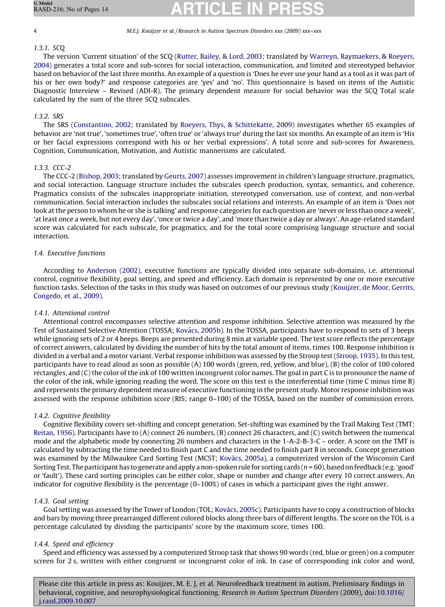# 1.3.1. SCQ

The version 'Current situation' of the SCQ ([Rutter, Bailey, & Lord, 2003](#page-12-0); translated by [Warreyn, Raymaekers, & Roeyers,](#page-13-0) [2004](#page-13-0)) generates a total score and sub-scores for social interaction, communication, and limited and stereotyped behavior based on behavior of the last three months. An example of a question is 'Does he ever use your hand as a tool as it was part of his or her own body?' and response categories are 'yes' and 'no'. This questionnaire is based on items of the Autistic Diagnostic Interview – Revised (ADI-R). The primary dependent measure for social behavior was the SCQ Total scale calculated by the sum of the three SCQ subscales.

### 1.3.2. SRS

The SRS [\(Constantino, 2002](#page-12-0); translated by [Roeyers, Thys, & Schittekatte, 2009\)](#page-12-0) investigates whether 65 examples of behavior are 'not true', 'sometimes true', 'often true' or 'always true' during the last six months. An example of an item is 'His or her facial expressions correspond with his or her verbal expressions'. A total score and sub-scores for Awareness, Cognition, Communication, Motivation, and Autistic mannerisms are calculated.

### 1.3.3. CCC-2

The CCC-2 ([Bishop, 2003](#page-12-0); translated by [Geurts, 2007](#page-12-0)) assesses improvement in children's language structure, pragmatics, and social interaction. Language structure includes the subscales speech production, syntax, semantics, and coherence. Pragmatics consists of the subscales inappropriate initiation, stereotyped conversation, use of context, and non-verbal communication. Social interaction includes the subscales social relations and interests. An example of an item is 'Does not look at the person to whom he or she is talking' and response categories for each question are 'never or less than once a week', 'at least once a week, but not every day', 'once or twice a day', and 'more than twice a day or always'. An age-related standard score was calculated for each subscale, for pragmatics, and for the total score comprising language structure and social interaction.

### 1.4. Executive functions

According to [Anderson \(2002\),](#page-12-0) executive functions are typically divided into separate sub-domains, i.e. attentional control, cognitive flexibility, goal setting, and speed and efficiency. Each domain is represented by one or more executive function tasks. Selection of the tasks in this study was based on outcomes of our previous study ([Kouijzer, de Moor, Gerrits,](#page-12-0) [Congedo, et al., 2009\)](#page-12-0).

# 1.4.1. Attentional control

Attentional control encompasses selective attention and response inhibition. Selective attention was measured by the Test of Sustained Selective Attention (TOSSA; Ková[cs, 2005b\)](#page-12-0). In the TOSSA, participants have to respond to sets of 3 beeps while ignoring sets of 2 or 4 beeps. Beeps are presented during 8 min at variable speed. The test score reflects the percentage of correct answers, calculated by dividing the number of hits by the total amount of items, times 100. Response inhibition is divided in a verbal and a motor variant. Verbal response inhibition was assessed by the Stroop test ([Stroop, 1935\)](#page-13-0). In this test, participants have to read aloud as soon as possible (A) 100 words (green, red, yellow, and blue), (B) the color of 100 colored rectangles, and (C) the color of the ink of 100 written incongruent color names. The goal in part C is to pronounce the name of the color of the ink, while ignoring reading the word. The score on this test is the interferential time (time C minus time B) and represents the primary dependent measure of executive functioning in the present study. Motor response inhibition was assessed with the response inhibition score (RIS; range 0–100) of the TOSSA, based on the number of commission errors.

# 1.4.2. Cognitive flexibility

Cognitive flexibility covers set-shifting and concept generation. Set-shifting was examined by the Trail Making Test (TMT; [Reitan, 1956](#page-12-0)). Participants have to (A) connect 26 numbers, (B) connect 26 characters, and (C) switch between the numerical mode and the alphabetic mode by connecting 26 numbers and characters in the 1-A-2-B-3-C – order. A score on the TMT is calculated by subtracting the time needed to finish part C and the time needed to finish part B in seconds. Concept generation was examined by the Milwaukee Card Sorting Test (MCST; Kovács, 2005a), a computerized version of the Wisconsin Card Sorting Test. The participant has to generate and apply a non-spoken rule for sorting cards ( $n = 60$ ), based on feedback (e.g. 'good' or 'fault'). These card sorting principles can be either color, shape or number and change after every 10 correct answers. An indicator for cognitive flexibility is the percentage (0–100%) of cases in which a participant gives the right answer.

### 1.4.3. Goal setting

Goal setting was assessed by the Tower of London (TOL; Ková[cs, 2005c](#page-12-0)). Participants have to copy a construction of blocks and bars by moving three prearranged different colored blocks along three bars of different lengths. The score on the TOL is a percentage calculated by dividing the participants' score by the maximum score, times 100.

# 1.4.4. Speed and efficiency

Speed and efficiency was assessed by a computerized Stroop task that shows 90 words (red, blue or green) on a computer screen for 2 s, written with either congruent or incongruent color of ink. In case of corresponding ink color and word,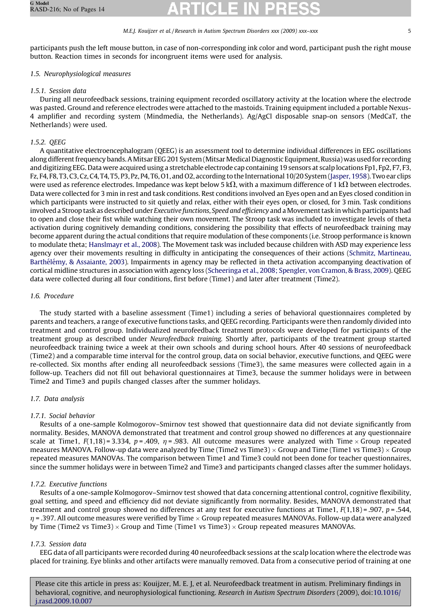participants push the left mouse button, in case of non-corresponding ink color and word, participant push the right mouse button. Reaction times in seconds for incongruent items were used for analysis.

# 1.5. Neurophysiological measures

# 1.5.1. Session data

During all neurofeedback sessions, training equipment recorded oscillatory activity at the location where the electrode was pasted. Ground and reference electrodes were attached to the mastoids. Training equipment included a portable Nexus-4 amplifier and recording system (Mindmedia, the Netherlands). Ag/AgCl disposable snap-on sensors (MedCaT, the Netherlands) were used.

# 1.5.2. QEEG

A quantitative electroencephalogram (QEEG) is an assessment tool to determine individual differences in EEG oscillations along different frequency bands. A Mitsar EEG 201 System (Mitsar Medical Diagnostic Equipment, Russia) was used for recording and digitizing EEG. Data were acquired using a stretchable electrode cap containing 19 sensors at scalp locations Fp1, Fp2, F7, F3, Fz, F4, F8, T3, C3, Cz, C4, T4, T5, P3, Pz, P4, T6, O1, and O2, according to the International 10/20 System [\(Jasper, 1958](#page-12-0)). Two ear clips were used as reference electrodes. Impedance was kept below 5 k $\Omega$ , with a maximum difference of 1 k $\Omega$  between electrodes. Data were collected for 3 min in rest and task conditions. Rest conditions involved an Eyes open and an Eyes closed condition in which participants were instructed to sit quietly and relax, either with their eyes open, or closed, for 3 min. Task conditions involved a Stroop task as described under Executive functions, Speed and efficiency and a Movement task in which participants had to open and close their fist while watching their own movement. The Stroop task was included to investigate levels of theta activation during cognitively demanding conditions, considering the possibility that effects of neurofeedback training may become apparent during the actual conditions that require modulation of these components (i.e. Stroop performance is known to modulate theta; [Hanslmayr et al., 2008](#page-12-0)). The Movement task was included because children with ASD may experience less agency over their movements resulting in difficulty in anticipating the consequences of their actions ([Schmitz, Martineau,](#page-12-0) Barthélémy, & Assaiante, 2003). Impairments in agency may be reflected in theta activation accompanying deactivation of cortical midline structures in association with agency loss ([Scheeringa et al., 2008; Spengler, von Cramon, & Brass, 2009\)](#page-12-0). QEEG data were collected during all four conditions, first before (Time1) and later after treatment (Time2).

### 1.6. Procedure

The study started with a baseline assessment (Time1) including a series of behavioral questionnaires completed by parents and teachers, a range of executive functions tasks, and QEEG recording. Participants were then randomly divided into treatment and control group. Individualized neurofeedback treatment protocols were developed for participants of the treatment group as described under Neurofeedback training. Shortly after, participants of the treatment group started neurofeedback training twice a week at their own schools and during school hours. After 40 sessions of neurofeedback (Time2) and a comparable time interval for the control group, data on social behavior, executive functions, and QEEG were re-collected. Six months after ending all neurofeedback sessions (Time3), the same measures were collected again in a follow-up. Teachers did not fill out behavioral questionnaires at Time3, because the summer holidays were in between Time2 and Time3 and pupils changed classes after the summer holidays.

# 1.7. Data analysis

# 1.7.1. Social behavior

Results of a one-sample Kolmogorov–Smirnov test showed that questionnaire data did not deviate significantly from normality. Besides, MANOVA demonstrated that treatment and control group showed no differences at any questionnaire scale at Time1,  $F(1,18) = 3.334$ ,  $p = .409$ ,  $\eta = .983$ . All outcome measures were analyzed with Time  $\times$  Group repeated measures MANOVA. Follow-up data were analyzed by Time (Time2 vs Time3)  $\times$  Group and Time (Time1 vs Time3)  $\times$  Group repeated measures MANOVAs. The comparison between Time1 and Time3 could not been done for teacher questionnaires, since the summer holidays were in between Time2 and Time3 and participants changed classes after the summer holidays.

# 1.7.2. Executive functions

Results of a one-sample Kolmogorov–Smirnov test showed that data concerning attentional control, cognitive flexibility, goal setting, and speed and efficiency did not deviate significantly from normality. Besides, MANOVA demonstrated that treatment and control group showed no differences at any test for executive functions at Time1,  $F(1,18) = .907$ ,  $p = .544$ ,  $\eta$  = .397. All outcome measures were verified by Time  $\times$  Group repeated measures MANOVAs. Follow-up data were analyzed by Time (Time2 vs Time3)  $\times$  Group and Time (Time1 vs Time3)  $\times$  Group repeated measures MANOVAs.

# 1.7.3. Session data

EEG data of all participants were recorded during 40 neurofeedback sessions at the scalp location where the electrode was placed for training. Eye blinks and other artifacts were manually removed. Data from a consecutive period of training at one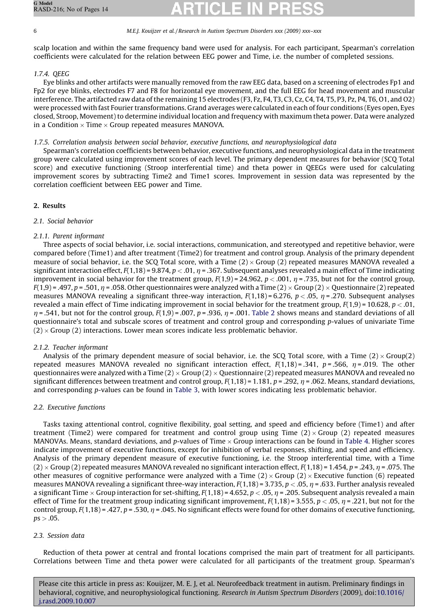scalp location and within the same frequency band were used for analysis. For each participant, Spearman's correlation coefficients were calculated for the relation between EEG power and Time, i.e. the number of completed sessions.

# 1.7.4. QEEG

Eye blinks and other artifacts were manually removed from the raw EEG data, based on a screening of electrodes Fp1 and Fp2 for eye blinks, electrodes F7 and F8 for horizontal eye movement, and the full EEG for head movement and muscular interference. The artifacted raw data of the remaining 15 electrodes (F3, Fz, F4, T3, C3, Cz, C4, T4, T5, P3, Pz, P4, T6, O1, and O2) were processed with fast Fourier transformations. Grand averages were calculated in each of four conditions (Eyes open, Eyes closed, Stroop, Movement) to determine individual location and frequency with maximum theta power. Data were analyzed in a Condition  $\times$  Time  $\times$  Group repeated measures MANOVA.

### 1.7.5. Correlation analysis between social behavior, executive functions, and neurophysiological data

Spearman's correlation coefficients between behavior, executive functions, and neurophysiological data in the treatment group were calculated using improvement scores of each level. The primary dependent measures for behavior (SCQ Total score) and executive functioning (Stroop interferential time) and theta power in QEEGs were used for calculating improvement scores by subtracting Time2 and Time1 scores. Improvement in session data was represented by the correlation coefficient between EEG power and Time.

### 2. Results

### 2.1. Social behavior

### 2.1.1. Parent informant

Three aspects of social behavior, i.e. social interactions, communication, and stereotyped and repetitive behavior, were compared before (Time1) and after treatment (Time2) for treatment and control group. Analysis of the primary dependent measure of social behavior, i.e. the SCQ Total score, with a Time (2) × Group (2) repeated measures MANOVA revealed a significant interaction effect,  $F(1,18) = 9.874$ ,  $p < .01$ ,  $\eta = .367$ . Subsequent analyses revealed a main effect of Time indicating improvement in social behavior for the treatment group,  $F(1,9) = 24.962$ ,  $p < .001$ ,  $n = .735$ , but not for the control group, F(1,9) = .497, p = .501,  $\eta$  = .058. Other questionnaires were analyzed with a Time (2)  $\times$  Group (2)  $\times$  Questionnaire (2) repeated measures MANOVA revealing a significant three-way interaction,  $F(1,18) = 6.276$ ,  $p < .05$ ,  $\eta = .270$ . Subsequent analyses revealed a main effect of Time indicating improvement in social behavior for the treatment group,  $F(1,9) = 10.628$ ,  $p < .01$ ,  $\eta$  = .541, but not for the control group,  $F(1,9)$  = .007, p = .936,  $\eta$  = .001. [Table 2](#page-6-0) shows means and standard deviations of all questionnaire's total and subscale scores of treatment and control group and corresponding p-values of univariate Time  $(2) \times$  Group  $(2)$  interactions. Lower mean scores indicate less problematic behavior.

### 2.1.2. Teacher informant

Analysis of the primary dependent measure of social behavior, i.e. the SCQ Total score, with a Time (2) $\times$ Group(2) repeated measures MANOVA revealed no significant interaction effect,  $F(1,18) = .341$ ,  $p = .566$ ,  $\eta = .019$ . The other questionnaires were analyzed with a Time (2)  $\times$  Group (2)  $\times$  Questionnaire (2) repeated measures MANOVA and revealed no significant differences between treatment and control group,  $F(1,18) = 1.181$ ,  $p = .292$ ,  $\eta = .062$ . Means, standard deviations, and corresponding p-values can be found in [Table 3](#page-7-0), with lower scores indicating less problematic behavior.

### 2.2. Executive functions

Tasks taxing attentional control, cognitive flexibility, goal setting, and speed and efficiency before (Time1) and after treatment (Time2) were compared for treatment and control group using Time  $(2) \times G$ roup  $(2)$  repeated measures MANOVAs. Means, standard deviations, and p-values of Time  $\times$  Group interactions can be found in [Table 4.](#page-7-0) Higher scores indicate improvement of executive functions, except for inhibition of verbal responses, shifting, and speed and efficiency. Analysis of the primary dependent measure of executive functioning, i.e. the Stroop interferential time, with a Time (2)  $\times$  Group (2) repeated measures MANOVA revealed no significant interaction effect, F(1,18) = 1.454, p = .243,  $\eta$  = .075. The other measures of cognitive performance were analyzed with a Time  $(2) \times G$ roup  $(2) \times E$ xecutive function (6) repeated measures MANOVA revealing a significant three-way interaction,  $F(1,18) = 3.735$ ,  $p < .05$ ,  $\eta = .633$ . Further analysis revealed a significant Time  $\times$  Group interaction for set-shifting, F(1,18) = 4.652, p  $<$  .05,  $\eta$  = .205. Subsequent analysis revealed a main effect of Time for the treatment group indicating significant improvement,  $F(1,18) = 3.555$ ,  $p < .05$ ,  $\eta = .221$ , but not for the control group,  $F(1,18) = .427$ ,  $p = .530$ ,  $n = .045$ . No significant effects were found for other domains of executive functioning,  $ps > .05$ .

### 2.3. Session data

Reduction of theta power at central and frontal locations comprised the main part of treatment for all participants. Correlations between Time and theta power were calculated for all participants of the treatment group. Spearman's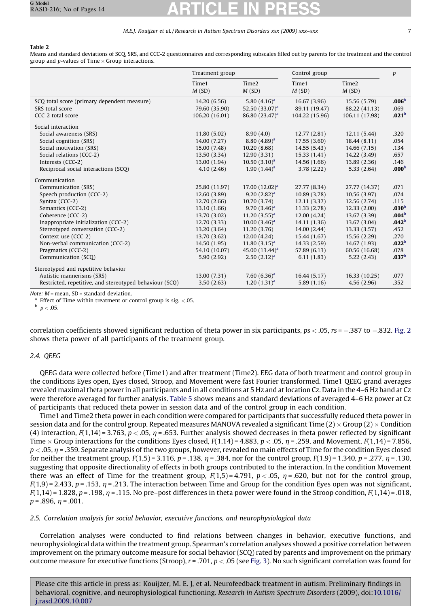#### <span id="page-6-0"></span>Table 2

Means and standard deviations of SCQ, SRS, and CCC-2 questionnaires and corresponding subscales filled out by parents for the treatment and the control group and p-values of Time  $\times$  Group interactions.

|                                                         | Treatment group |                            | Control group  |                            | $\boldsymbol{p}$  |
|---------------------------------------------------------|-----------------|----------------------------|----------------|----------------------------|-------------------|
|                                                         | Time1<br>M(SD)  | Time <sub>2</sub><br>M(SD) | Time1<br>M(SD) | Time <sub>2</sub><br>M(SD) |                   |
| SCQ total score (primary dependent measure)             | 14.20 (6.56)    | 5.80 $(4.16)^a$            | 16.67(3.96)    | 15.56 (5.79)               | .006 <sup>b</sup> |
| SRS total score                                         | 79.60 (35.90)   | 52.50 $(33.07)^a$          | 89.11 (19.47)  | 88.22 (41.13)              | .069              |
| CCC-2 total score                                       | 106.20 (16.01)  | 86.80 (23.47) <sup>a</sup> | 104.22 (15.96) | 106.11 (17.98)             | .021 <sup>b</sup> |
| Social interaction                                      |                 |                            |                |                            |                   |
| Social awareness (SRS)                                  | 11.80(5.02)     | 8.90(4.0)                  | 12.77(2.81)    | 12.11 (5.44)               | .320              |
| Social cognition (SRS)                                  | 14.00 (7.27)    | $8.80(4.89)^a$             | 17.55 (3.60)   | 18.44 (8.11)               | .054              |
| Social motivation (SRS)                                 | 15.00 (7.48)    | 10.20(8.68)                | 14.55 (5.43)   | 14.66 (7.15)               | .134              |
| Social relations (CCC-2)                                | 13.50 (3.34)    | 12.90(3.31)                | 15.33(1.41)    | 14.22 (3.49)               | .657              |
| Interests (CCC-2)                                       | 13.00 (1.94)    | $10.50(3.10)^a$            | 14.56 (1.66)   | 13.89 (2.36)               | .146              |
| Reciprocal social interactions (SCO)                    | 4.10(2.46)      | $1.90(1.44)^a$             | 3.78(2.22)     | 5.33(2.64)                 | .000 <sup>b</sup> |
| Communication                                           |                 |                            |                |                            |                   |
| Communication (SRS)                                     | 25.80 (11.97)   | $17.00(12.02)^a$           | 27.77 (8.34)   | 27.77 (14.37)              | .071              |
| Speech production (CCC-2)                               | 12.60 (3.89)    | $9.20(2.82)^a$             | 10.89 (3.78)   | 10.56 (3.97)               | .074              |
| Syntax (CCC-2)                                          | 12.70 (2.66)    | 10.70 (3.74)               | 12.11(3.37)    | 12.56 (2.74)               | .115              |
| Semantics (CCC-2)                                       | 13.10 (1.66)    | $9.70(3.46)^a$             | 11.33 (2.78)   | 12.33(2.00)                | .010 <sup>b</sup> |
| Coherence (CCC-2)                                       | 13.70 (3.02)    | $11.20(3.55)^a$            | 12.00 (4.24)   | 13.67 (3.39)               | .004 <sup>b</sup> |
| Inappropriate initialization (CCC-2)                    | 12.70 (3.33)    | $10.00(3.46)^a$            | 14.11 (1.36)   | 13.67 (3.04)               | .042 <sup>b</sup> |
| Stereotyped conversation (CCC-2)                        | 13.20 (3.64)    | 11.20(3.76)                | 14.00 (2.44)   | 13.33 (3.57)               | .452              |
| Context use (CCC-2)                                     | 13.70 (3.62)    | 12.00(4.24)                | 15.44 (1.67)   | 15.56 (2.29)               | .270              |
| Non-verbal communication (CCC-2)                        | 14.50 (1.95)    | 11.80 $(3.15)^a$           | 14.33 (2.59)   | 14.67 (1.93)               | .022 <sup>b</sup> |
| Pragmatics (CCC-2)                                      | 54.10 (10.07)   | 45.00 $(13.44)^a$          | 57.89 (6.13)   | 60.56 (16.68)              | .078              |
| Communication (SCO)                                     | 5.90(2.92)      | 2.50(2.12) <sup>a</sup>    | 6.11(1.83)     | 5.22(2.43)                 | .037 <sup>b</sup> |
| Stereotyped and repetitive behavior                     |                 |                            |                |                            |                   |
| Autistic mannerisms (SRS)                               | 13.00 (7.31)    | 7.60 $(6.36)^a$            | 16.44 (5.17)   | 16.33 (10.25)              | .077              |
| Restricted, repetitive, and stereotyped behaviour (SCQ) | 3.50(2.63)      | 1.20(1.31) <sup>a</sup>    | 5.89(1.16)     | 4.56 (2.96)                | .352              |

Note:  $M$  = mean, SD = standard deviation.

 $a$  Effect of Time within treatment or control group is sig. <.05.

 $^{\rm b}$   $p<.05.$ 

correlation coefficients showed significant reduction of theta power in six participants,  $ps < .05$ ,  $rs = -.387$  to  $-.832$ . [Fig. 2](#page-8-0) shows theta power of all participants of the treatment group.

#### 2.4. QEEG

QEEG data were collected before (Time1) and after treatment (Time2). EEG data of both treatment and control group in the conditions Eyes open, Eyes closed, Stroop, and Movement were fast Fourier transformed. Time1 QEEG grand averages revealed maximal theta power in all participants and in all conditions at 5 Hz and at location Cz. Data in the 4–6 Hz band at Cz were therefore averaged for further analysis. [Table 5](#page-8-0) shows means and standard deviations of averaged 4–6 Hz power at Cz of participants that reduced theta power in session data and of the control group in each condition.

Time1 and Time2 theta power in each condition were compared for participants that successfully reduced theta power in session data and for the control group. Repeated measures MANOVA revealed a significant Time (2)  $\times$  Group (2)  $\times$  Condition (4) interaction,  $F(1,14) = 3.763$ ,  $p < .05$ ,  $n = .653$ . Further analysis showed decreases in theta power reflected by significant Time  $\times$  Group interactions for the conditions Eyes closed, F(1,14) = 4.883, p < .05,  $\eta$  = .259, and Movement, F(1,14) = 7.856,  $p < .05$ ,  $\eta$  = .359. Separate analysis of the two groups, however, revealed no main effects of Time for the condition Eyes closed for neither the treatment group,  $F(1,5) = 3.116$ ,  $p = .138$ ,  $\eta = .384$ , nor for the control group,  $F(1,9) = 1.340$ ,  $p = .277$ ,  $\eta = .130$ , suggesting that opposite directionality of effects in both groups contributed to the interaction. In the condition Movement there was an effect of Time for the treatment group,  $F(1,5) = 4.791$ ,  $p < .05$ ,  $\eta = .620$ , but not for the control group,  $F(1,9) = 2.433$ ,  $p = .153$ ,  $\eta = .213$ . The interaction between Time and Group for the condition Eyes open was not significant,  $F(1,14) = 1.828$ ,  $p = .198$ ,  $\eta = .115$ . No pre–post differences in theta power were found in the Stroop condition,  $F(1,14) = .018$ ,  $p = .896, \eta = .001.$ 

#### 2.5. Correlation analysis for social behavior, executive functions, and neurophysiological data

Correlation analyses were conducted to find relations between changes in behavior, executive functions, and neurophysiological data within the treatment group. Spearman's correlation analyses showed a positive correlation between improvement on the primary outcome measure for social behavior (SCQ) rated by parents and improvement on the primary outcome measure for executive functions (Stroop),  $r = .701$ ,  $p < .05$  (see [Fig. 3\)](#page-8-0). No such significant correlation was found for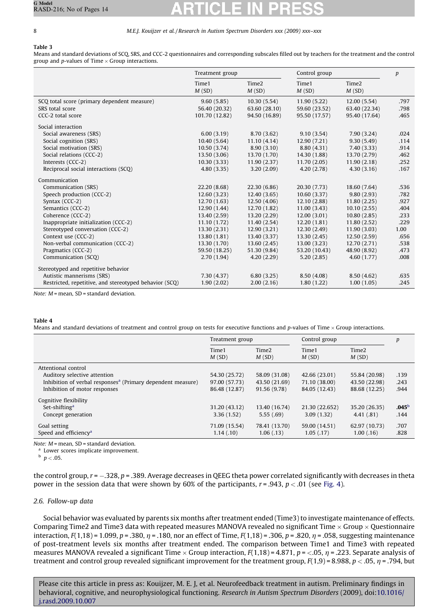#### <span id="page-7-0"></span>Table 3

Means and standard deviations of SCQ, SRS, and CCC-2 questionnaires and corresponding subscales filled out by teachers for the treatment and the control group and p-values of Time  $\times$  Group interactions.

|                                                        | Treatment group |                            | Control group  |                            | p    |
|--------------------------------------------------------|-----------------|----------------------------|----------------|----------------------------|------|
|                                                        | Time1<br>M(SD)  | Time <sub>2</sub><br>M(SD) | Time1<br>M(SD) | Time <sub>2</sub><br>M(SD) |      |
| SCQ total score (primary dependent measure)            | 9.60(5.85)      | 10.30(5.54)                | 11.90(5.22)    | 12.00(5.54)                | .797 |
| SRS total score                                        | 56.40 (20.32)   | 63.60 (28.10)              | 59.60 (23.52)  | 63.40 (22.34)              | .798 |
| CCC-2 total score                                      | 101.70 (12.82)  | 94.50 (16.89)              | 95.50 (17.57)  | 95.40 (17.64)              | .465 |
| Social interaction                                     |                 |                            |                |                            |      |
| Social awareness (SRS)                                 | 6.00(3.19)      | 8.70 (3.62)                | 9.10(3.54)     | 7.90(3.24)                 | .024 |
| Social cognition (SRS)                                 | 10.40(5.64)     | 11.10(4.14)                | 12.90 (7.21)   | 9.30(5.49)                 | .114 |
| Social motivation (SRS)                                | 10.50 (3.74)    | 8.90(3.10)                 | 8.80(4.31)     | 7.40(3.33)                 | .914 |
| Social relations (CCC-2)                               | 13.50 (3.06)    | 13.70 (1.70)               | 14.30 (1.88)   | 13.70 (2.79)               | .462 |
| Interests (CCC-2)                                      | 10.30(3.33)     | 11.90 (2.37)               | 11.70(2.05)    | 11.90(2.18)                | .252 |
| Reciprocal social interactions (SCO)                   | 4.80(3.35)      | 3.20(2.09)                 | 4.20(2.78)     | 4.30(3.16)                 | .167 |
| Communication                                          |                 |                            |                |                            |      |
| Communication (SRS)                                    | 22.20 (8.68)    | 22.30 (6.86)               | 20.30 (7.73)   | 18.60 (7.64)               | .536 |
| Speech production (CCC-2)                              | 12.60(3.23)     | 12.40(3.65)                | 10.60(3.37)    | 9.80(2.93)                 | .782 |
| Syntax (CCC-2)                                         | 12.70 (1.63)    | 12.50 (4.06)               | 12.10 (2.88)   | 11.80 (2.25)               | .927 |
| Semantics (CCC-2)                                      | 12.90 (1.44)    | 12.70 (1.82)               | 11.00(3.43)    | 10.10(2.55)                | .404 |
| Coherence (CCC-2)                                      | 13.40 (2.59)    | 13.20 (2.29)               | 12.00(3.01)    | 10.80(2.85)                | .233 |
| Inappropriate initialization (CCC-2)                   | 11.10(1.72)     | 11.40 (2.54)               | 12.20 (1.81)   | 11.80 (2.52)               | .229 |
| Stereotyped conversation (CCC-2)                       | 13.30 (2.31)    | 12.90 (3.21)               | 12.30 (2.49)   | 11.90 (3.03)               | 1.00 |
| Context use (CCC-2)                                    | 13.80 (1.81)    | 13.40 (3.37)               | 13.30(2.45)    | 12.50(2.59)                | .656 |
| Non-verbal communication (CCC-2)                       | 13.30 (1.70)    | 13.60 (2.45)               | 13.00(3.23)    | 12.70 (2.71)               | .538 |
| Pragmatics (CCC-2)                                     | 59.50 (18.25)   | 51.30 (9.84)               | 53.20 (10.43)  | 48.90 (8.92)               | .473 |
| Communication (SCQ)                                    | 2.70(1.94)      | 4.20(2.29)                 | 5.20(2.85)     | 4.60(1.77)                 | .008 |
| Stereotyped and repetitive behavior                    |                 |                            |                |                            |      |
| Autistic mannerisms (SRS)                              | 7.30(4.37)      | 6.80(3.25)                 | 8.50(4.08)     | 8.50(4.62)                 | .635 |
| Restricted, repetitive, and stereotyped behavior (SCO) | 1.90(2.02)      | 2.00(2.16)                 | 1.80(1.22)     | 1.00(1.05)                 | .245 |

Note:  $M$  = mean, SD = standard deviation.

#### Table 4

Means and standard deviations of treatment and control group on tests for executive functions and p-values of Time  $\times$  Group interactions.

|                                                                         | Treatment group |                            | Control group  |                            | p              |
|-------------------------------------------------------------------------|-----------------|----------------------------|----------------|----------------------------|----------------|
|                                                                         | Time1<br>M(SD)  | Time <sub>2</sub><br>M(SD) | Time1<br>M(SD) | Time <sub>2</sub><br>M(SD) |                |
| Attentional control                                                     |                 |                            |                |                            |                |
| Auditory selective attention                                            | 54.30 (25.72)   | 58.09 (31.08)              | 42.66 (23.01)  | 55.84 (20.98)              | .139           |
| Inhibition of verbal responses <sup>a</sup> (Primary dependent measure) | 97.00 (57.73)   | 43.50 (21.69)              | 71.10 (38.00)  | 43.50 (22.98)              | .243           |
| Inhibition of motor responses                                           | 86.48 (12.87)   | 91.56 (9.78)               | 84.05 (12.43)  | 88.68 (12.25)              | .944           |
| Cognitive flexibility                                                   |                 |                            |                |                            |                |
| Set-shifting <sup>a</sup>                                               | 31.20 (43.12)   | 13.40 (16.74)              | 21.30 (22.652) | 35.20 (26.35)              | $.045^{\rm b}$ |
| Concept generation                                                      | 3.36(1.52)      | 5.55(.69)                  | 3.09(1.32)     | 4.41(.81)                  | .144           |
| Goal setting                                                            | 71.09 (15.54)   | 78.41 (13.70)              | 59.00 (14.51)  | 62.97 (10.73)              | .707           |
| Speed and efficiency <sup>a</sup>                                       | 1.14(0.10)      | 1.06(0.13)                 | 1.05(0.17)     | 1.00(0.16)                 | .828           |

Note:  $M$  = mean, SD = standard deviation.

<sup>a</sup> Lower scores implicate improvement.

 $^{\rm b}$   $p<.05.$ 

the control group,  $r = -0.328$ ,  $p = 0.389$ . Average decreases in QEEG theta power correlated significantly with decreases in theta power in the session data that were shown by 60% of the participants,  $r = .943$ ,  $p < .01$  (see [Fig. 4\)](#page-9-0).

#### 2.6. Follow-up data

Social behavior was evaluated by parents six months after treatment ended (Time3) to investigate maintenance of effects. Comparing Time2 and Time3 data with repeated measures MANOVA revealed no significant Time  $\times$  Group  $\times$  Questionnaire interaction,  $F(1,18)$  = 1.099, p = .380,  $\eta$  = .180, nor an effect of Time,  $F(1,18)$  = .306, p = .820,  $\eta$  = .058, suggesting maintenance of post-treatment levels six months after treatment ended. The comparison between Time1 and Time3 with repeated measures MANOVA revealed a significant Time  $\times$  Group interaction,  $F(1,18)$  = 4.871, p = <.05,  $\eta$  = .223. Separate analysis of treatment and control group revealed significant improvement for the treatment group,  $F(1,9) = 8.988$ ,  $p < .05$ ,  $\eta = .794$ , but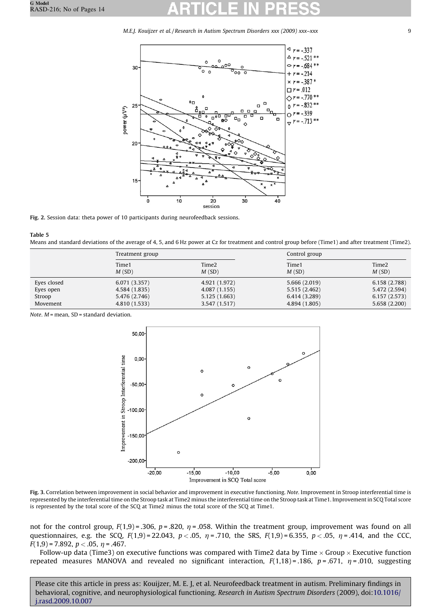<span id="page-8-0"></span>

Fig. 2. Session data: theta power of 10 participants during neurofeedback sessions.

Table 5

Means and standard deviations of the average of 4, 5, and 6 Hz power at Cz for treatment and control group before (Time1) and after treatment (Time2).

|             | Treatment group |                            | Control group  |                            |  |
|-------------|-----------------|----------------------------|----------------|----------------------------|--|
|             | Time1<br>M(SD)  | Time <sub>2</sub><br>M(SD) | Time1<br>M(SD) | Time <sub>2</sub><br>M(SD) |  |
| Eyes closed | 6.071(3.357)    | 4.921 (1.972)              | 5.666 (2.019)  | 6.158 (2.788)              |  |
| Eyes open   | 4.584 (1.835)   | 4.087 (1.155)              | 5.515 (2.462)  | 5.472 (2.594)              |  |
| Stroop      | 5.476 (2.746)   | 5.125 (1.663)              | 6.414 (3.289)  | 6.157(2.573)               |  |
| Movement    | 4.810 (1.533)   | 3.547 (1.517)              | 4.894 (1.805)  | 5.658(2.200)               |  |

Note.  $M$  = mean, SD = standard deviation.



Fig. 3. Correlation between improvement in social behavior and improvement in executive functioning. Note. Improvement in Stroop interferential time is represented by the interferential time on the Stroop task at Time2 minus the interferential time on the Stroop task at Time1. Improvement in SCQ Total score is represented by the total score of the SCQ at Time2 minus the total score of the SCQ at Time1.

not for the control group,  $F(1,9) = 0.306$ ,  $p = 0.820$ ,  $\eta = 0.058$ . Within the treatment group, improvement was found on all questionnaires, e.g. the SCQ,  $F(1,9) = 22.043$ ,  $p < .05$ ,  $\eta = .710$ , the SRS,  $F(1,9) = 6.355$ ,  $p < .05$ ,  $\eta = .414$ , and the CCC,  $F(1,9) = 7.892$ ,  $p < .05$ ,  $\eta = .467$ .

Follow-up data (Time3) on executive functions was compared with Time2 data by Time  $\times$  Group  $\times$  Executive function repeated measures MANOVA and revealed no significant interaction,  $F(1,18) = .186$ ,  $p = .671$ ,  $\eta = .010$ , suggesting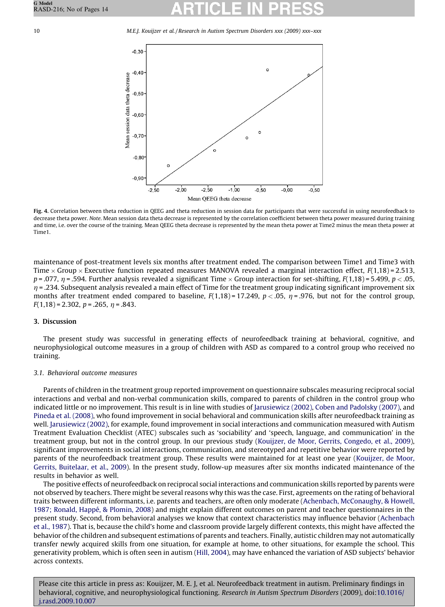<span id="page-9-0"></span>10 M.E.J. Kouijzer et al. / Research in Autism Spectrum Disorders xxx (2009) xxx–xxx



Fig. 4. Correlation between theta reduction in QEEG and theta reduction in session data for participants that were successful in using neurofeedback to decrease theta power. Note. Mean session data theta decrease is represented by the correlation coefficient between theta power measured during training and time, i.e. over the course of the training. Mean QEEG theta decrease is represented by the mean theta power at Time2 minus the mean theta power at Time1.

maintenance of post-treatment levels six months after treatment ended. The comparison between Time1 and Time3 with Time  $\times$  Group  $\times$  Executive function repeated measures MANOVA revealed a marginal interaction effect, F(1,18)=2.513, p = .077,  $\eta$  = .594. Further analysis revealed a significant Time  $\times$  Group interaction for set-shifting, F(1,18) = 5.499, p < .05,  $\eta$  = .234. Subsequent analysis revealed a main effect of Time for the treatment group indicating significant improvement six months after treatment ended compared to baseline,  $F(1,18) = 17.249$ ,  $p < .05$ ,  $\eta = .976$ , but not for the control group,  $F(1,18) = 2.302$ ,  $p = .265$ ,  $n = .843$ .

### 3. Discussion

The present study was successful in generating effects of neurofeedback training at behavioral, cognitive, and neurophysiological outcome measures in a group of children with ASD as compared to a control group who received no training.

### 3.1. Behavioral outcome measures

Parents of children in the treatment group reported improvement on questionnaire subscales measuring reciprocal social interactions and verbal and non-verbal communication skills, compared to parents of children in the control group who indicated little or no improvement. This result is in line with studies of [Jarusiewicz \(2002\),](#page-12-0) [Coben and Padolsky \(2007\)](#page-12-0), and [Pineda et al. \(2008\)](#page-12-0), who found improvement in social behavioral and communication skills after neurofeedback training as well. [Jarusiewicz \(2002\),](#page-12-0) for example, found improvement in social interactions and communication measured with Autism Treatment Evaluation Checklist (ATEC) subscales such as 'sociability' and 'speech, language, and communication' in the treatment group, but not in the control group. In our previous study ([Kouijzer, de Moor, Gerrits, Congedo, et al., 2009](#page-12-0)), significant improvements in social interactions, communication, and stereotyped and repetitive behavior were reported by parents of the neurofeedback treatment group. These results were maintained for at least one year ([Kouijzer, de Moor,](#page-12-0) [Gerrits, Buitelaar, et al., 2009\)](#page-12-0). In the present study, follow-up measures after six months indicated maintenance of the results in behavior as well.

The positive effects of neurofeedback on reciprocal social interactions and communication skills reported by parents were not observed by teachers. There might be several reasons why this was the case. First, agreements on the rating of behavioral traits between different informants, i.e. parents and teachers, are often only moderate [\(Achenbach, McConaughy, & Howell,](#page-12-0) 1987; Ronald, Happé, & Plomin, 2008) and might explain different outcomes on parent and teacher questionnaires in the present study. Second, from behavioral analyses we know that context characteristics may influence behavior ([Achenbach](#page-12-0) [et al., 1987](#page-12-0)). That is, because the child's home and classroom provide largely different contexts, this might have affected the behavior of the children and subsequent estimations of parents and teachers. Finally, autistic children may not automatically transfer newly acquired skills from one situation, for example at home, to other situations, for example the school. This generativity problem, which is often seen in autism ([Hill, 2004](#page-12-0)), may have enhanced the variation of ASD subjects' behavior across contexts.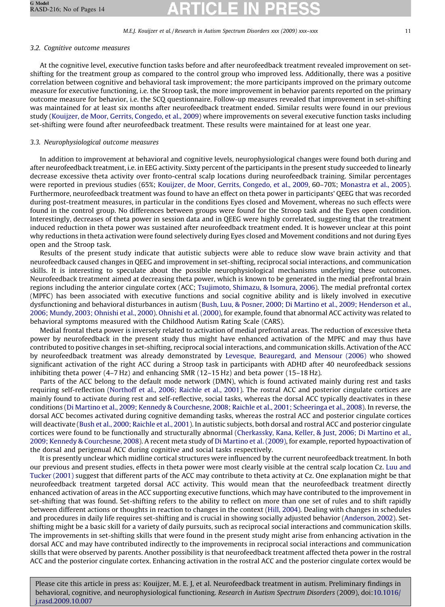### 3.2. Cognitive outcome measures

At the cognitive level, executive function tasks before and after neurofeedback treatment revealed improvement on setshifting for the treatment group as compared to the control group who improved less. Additionally, there was a positive correlation between cognitive and behavioral task improvement; the more participants improved on the primary outcome measure for executive functioning, i.e. the Stroop task, the more improvement in behavior parents reported on the primary outcome measure for behavior, i.e. the SCQ questionnaire. Follow-up measures revealed that improvement in set-shifting was maintained for at least six months after neurofeedback treatment ended. Similar results were found in our previous study [\(Kouijzer, de Moor, Gerrits, Congedo, et al., 2009](#page-12-0)) where improvements on several executive function tasks including set-shifting were found after neurofeedback treatment. These results were maintained for at least one year.

#### 3.3. Neurophysiological outcome measures

In addition to improvement at behavioral and cognitive levels, neurophysiological changes were found both during and after neurofeedback treatment, i.e. in EEG activity. Sixty percent of the participants in the present study succeeded to linearly decrease excessive theta activity over fronto-central scalp locations during neurofeedback training. Similar percentages were reported in previous studies (65%; [Kouijzer, de Moor, Gerrits, Congedo, et al., 2009](#page-12-0), 60–70%; [Monastra et al., 2005](#page-12-0)). Furthermore, neurofeedback treatment was found to have an effect on theta power in participants' QEEG that was recorded during post-treatment measures, in particular in the conditions Eyes closed and Movement, whereas no such effects were found in the control group. No differences between groups were found for the Stroop task and the Eyes open condition. Interestingly, decreases of theta power in session data and in QEEG were highly correlated, suggesting that the treatment induced reduction in theta power was sustained after neurofeedback treatment ended. It is however unclear at this point why reductions in theta activation were found selectively during Eyes closed and Movement conditions and not during Eyes open and the Stroop task.

Results of the present study indicate that autistic subjects were able to reduce slow wave brain activity and that neurofeedback caused changes in QEEG and improvement in set-shifting, reciprocal social interactions, and communication skills. It is interesting to speculate about the possible neurophysiological mechanisms underlying these outcomes. Neurofeedback treatment aimed at decreasing theta power, which is known to be generated in the medial prefrontal brain regions including the anterior cingulate cortex (ACC; [Tsujimoto, Shimazu, & Isomura, 2006\)](#page-13-0). The medial prefrontal cortex (MPFC) has been associated with executive functions and social cognitive ability and is likely involved in executive dysfunctioning and behavioral disturbances in autism ([Bush, Luu, & Posner, 2000; Di Martino et al., 2009; Henderson et al.,](#page-12-0) [2006; Mundy, 2003; Ohnishi et al., 2000](#page-12-0)). [Ohnishi et al. \(2000\)](#page-12-0), for example, found that abnormal ACC activity was related to behavioral symptoms measured with the Childhood Autism Rating Scale (CARS).

Medial frontal theta power is inversely related to activation of medial prefrontal areas. The reduction of excessive theta power by neurofeedback in the present study thus might have enhanced activation of the MPFC and may thus have contributed to positive changes in set-shifting, reciprocal social interactions, and communication skills. Activation of the ACC by neurofeedback treatment was already demonstrated by [Levesque, Beauregard, and Mensour \(2006\)](#page-12-0) who showed significant activation of the right ACC during a Stroop task in participants with ADHD after 40 neurofeedback sessions inhibiting theta power (4–7 Hz) and enhancing SMR (12–15 Hz) and beta power (15–18 Hz).

Parts of the ACC belong to the default mode network (DMN), which is found activated mainly during rest and tasks requiring self-reflection [\(Northoff et al., 2006; Raichle et al., 2001](#page-12-0)). The rostral ACC and posterior cingulate cortices are mainly found to activate during rest and self-reflective, social tasks, whereas the dorsal ACC typically deactivates in these conditions ([Di Martino et al., 2009; Kennedy & Courchesne, 2008; Raichle et al., 2001; Scheeringa et al., 2008](#page-12-0)). In reverse, the dorsal ACC becomes activated during cognitive demanding tasks, whereas the rostral ACC and posterior cingulate cortices will deactivate [\(Bush et al., 2000; Raichle et al., 2001\)](#page-12-0). In autistic subjects, both dorsal and rostral ACC and posterior cingulate cortices were found to be functionally and structurally abnormal [\(Cherkassky, Kana, Keller, & Just, 2006; Di Martino et al.,](#page-12-0) [2009; Kennedy & Courchesne, 2008](#page-12-0)). A recent meta study of [Di Martino et al. \(2009\)](#page-12-0), for example, reported hypoactivation of the dorsal and perigenual ACC during cognitive and social tasks respectively.

It is presently unclear which midline cortical structures were influenced by the current neurofeedback treatment. In both our previous and present studies, effects in theta power were most clearly visible at the central scalp location Cz. [Luu and](#page-12-0) [Tucker \(2001\)](#page-12-0) suggest that different parts of the ACC may contribute to theta activity at Cz. One explanation might be that neurofeedback treatment targeted dorsal ACC activity. This would mean that the neurofeedback treatment directly enhanced activation of areas in the ACC supporting executive functions, which may have contributed to the improvement in set-shifting that was found. Set-shifting refers to the ability to reflect on more than one set of rules and to shift rapidly between different actions or thoughts in reaction to changes in the context ([Hill, 2004\)](#page-12-0). Dealing with changes in schedules and procedures in daily life requires set-shifting and is crucial in showing socially adjusted behavior ([Anderson, 2002\)](#page-12-0). Setshifting might be a basic skill for a variety of daily pursuits, such as reciprocal social interactions and communication skills. The improvements in set-shifting skills that were found in the present study might arise from enhancing activation in the dorsal ACC and may have contributed indirectly to the improvements in reciprocal social interactions and communication skills that were observed by parents. Another possibility is that neurofeedback treatment affected theta power in the rostral ACC and the posterior cingulate cortex. Enhancing activation in the rostral ACC and the posterior cingulate cortex would be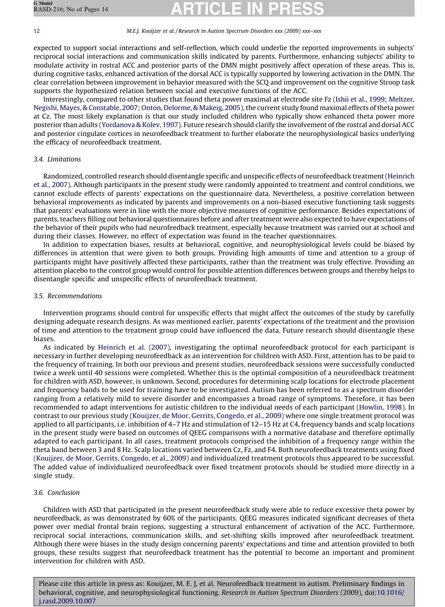expected to support social interactions and self-reflection, which could underlie the reported improvements in subjects' reciprocal social interactions and communication skills indicated by parents. Furthermore, enhancing subjects' ability to modulate activity in rostral ACC and posterior parts of the DMN might positively affect operation of these areas. This is, during cognitive tasks, enhanced activation of the dorsal ACC is typically supported by lowering activation in the DMN. The clear correlation between improvement in behavior measured with the SCQ and improvement on the cognitive Stroop task supports the hypothesized relation between social and executive functions of the ACC.

Interestingly, compared to other studies that found theta power maximal at electrode site Fz ([Ishii et al., 1999; Meltzer,](#page-12-0) [Negishi, Mayes, & Constable, 2007; Onton, Delorme, & Makeig, 2005](#page-12-0)), the current study found maximal effects of theta power at Cz. The most likely explanation is that our study included children who typically show enhanced theta power more posterior than adults [\(Yordanova & Kolev, 1997](#page-13-0)). Future research should clarify the involvement of the rostral and dorsal ACC and posterior cingulate cortices in neurofeedback treatment to further elaborate the neurophysiological basics underlying the efficacy of neurofeedback treatment.

# 3.4. Limitations

Randomized, controlled research should disentangle specific and unspecific effects of neurofeedback treatment ([Heinrich](#page-12-0) [et al., 2007\)](#page-12-0). Although participants in the present study were randomly appointed to treatment and control conditions, we cannot exclude effects of parents' expectations on the questionnaire data. Nevertheless, a positive correlation between behavioral improvements as indicated by parents and improvements on a non-biased executive functioning task suggests that parents' evaluations were in line with the more objective measures of cognitive performance. Besides expectations of parents, teachers filling out behavioral questionnaires before and after treatment were also expected to have expectations of the behavior of their pupils who had neurofeedback treatment, especially because treatment was carried out at school and during their classes. However, no effect of expectation was found in the teacher questionnaires.

In addition to expectation biases, results at behavioral, cognitive, and neurophysiological levels could be biased by differences in attention that were given to both groups. Providing high amounts of time and attention to a group of participants might have positively affected these participants, rather than the treatment was truly effective. Providing an attention placebo to the control group would control for possible attention differences between groups and thereby helps to disentangle specific and unspecific effects of neurofeedback treatment.

# 3.5. Recommendations

Intervention programs should control for unspecific effects that might affect the outcomes of the study by carefully designing adequate research designs. As was mentioned earlier, parents' expectations of the treatment and the provision of time and attention to the treatment group could have influenced the data. Future research should disentangle these biases.

As indicated by [Heinrich et al. \(2007\),](#page-12-0) investigating the optimal neurofeedback protocol for each participant is necessary in further developing neurofeedback as an intervention for children with ASD. First, attention has to be paid to the frequency of training. In both our previous and present studies, neurofeedback sessions were successfully conducted twice a week until 40 sessions were completed. Whether this is the optimal composition of a neurofeedback treatment for children with ASD, however, is unknown. Second, procedures for determining scalp locations for electrode placement and frequency bands to be used for training have to be investigated. Autism has been referred to as a spectrum disorder ranging from a relatively mild to severe disorder and encompasses a broad range of symptoms. Therefore, it has been recommended to adapt interventions for autistic children to the individual needs of each participant ([Howlin, 1998](#page-12-0)). In contrast to our previous study [\(Kouijzer, de Moor, Gerrits, Congedo, et al., 2009](#page-12-0)) where one single treatment protocol was applied to all participants, i.e. inhibition of 4–7 Hz and stimulation of 12–15 Hz at C4, frequency bands and scalp locations in the present study were based on outcomes of QEEG comparisons with a normative database and therefore optimally adapted to each participant. In all cases, treatment protocols comprised the inhibition of a frequency range within the theta band between 3 and 8 Hz. Scalp locations varied between Cz, Fz, and F4. Both neurofeedback treatments using fixed [\(Kouijzer, de Moor, Gerrits, Congedo, et al., 2009](#page-12-0)) and individualized treatment protocols thus appeared to be successful. The added value of individualized neurofeedback over fixed treatment protocols should be studied more directly in a single study.

# 3.6. Conclusion

Children with ASD that participated in the present neurofeedback study were able to reduce excessive theta power by neurofeedback, as was demonstrated by 60% of the participants. QEEG measures indicated significant decreases of theta power over medial frontal brain regions, suggesting a structural enhancement of activation of the ACC. Furthermore, reciprocal social interactions, communication skills, and set-shifting skills improved after neurofeedback treatment. Although there were biases in the study design concerning parents' expectations and time and attention provided to both groups, these results suggest that neurofeedback treatment has the potential to become an important and prominent intervention for children with ASD.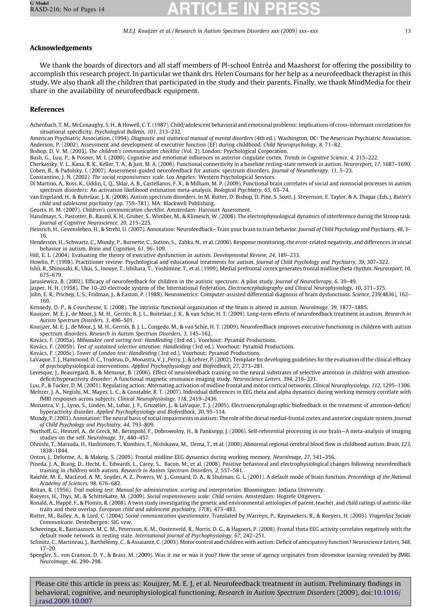### <span id="page-12-0"></span>Acknowledgements

We thank the boards of directors and all staff members of PI-school Entréa and Maashorst for offering the possibility to accomplish this research project. In particular we thank drs. Helen Coumans for her help as a neurofeedback therapist in this study. We also thank all the children that participated in the study and their parents. Finally, we thank MindMedia for their share in the availability of neurofeedback equipment.

#### References

Achenbach, T. M., McConaughy, S. H., & Howell, C. T. (1987). Child/adolescent behavioral and emotional problems: Implications of cross-informant correlations for situational specificity. Psychological Bulletin, 101, 213–232.

American Psychiatric Association. (1994). Diagnostic and statistical manual of mental disorders (4th ed.). Washington, DC: The American Psychiatric Association. Anderson, P. (2002). Assessment and development of executive function (EF) during childhood. Child Neuropsychology, 8, 71–82.

Bishop, D. V. M. (2003). The children's communication checklist (Vol. 2). London: Psychological Corporation.

Bush, G., Luu, P., & Posner, M. I. (2000). Cognitive and emotional influences in anterior cingulate cortex. Trends in Cognitive Science, 4, 215–222.

Cherkassky, V. L., Kana, R. K., Keller, T. A., & Just, M. A. (2006). Functional connectivity in a baseline resting-state network in autism. Neuroreport, 17, 1687–1690. Coben, R., & Padolsky, I. (2007). Assessment-guided neurofeedback for autistic spectrum disorders. Journal of Neurotherapy, 11, 5–23.

Constantino, J. N. (2002). The social responsiveness scale. Los Angeles: Western Psychological Services.

Di Martino, A., Ross, K., Uddin, L. Q., Sklar, A. B., Castellanos, F. X., & Milham, M. P. (2009). Functional brain correlates of social and nonsocial processes in autism spectrum disorders: An activation likelihood estimation meta-analysis. Biological Psychiatry, 65, 63-74.

van Engeland, H., & Buitelaar, J. K. (2008). Autism spectrum disorders. In M. Rutter, D. Bishop, D. Pine, S. Scott, J. Stevenson, E. Taylor, & A. Thapar (Eds.), Rutter's child and adolescent psychiatry (pp. 759–781). MA: Blackwell Publishing.

Geurts, H. M. (2007). Children's communication checklist. Amsterdam: Harcourt Assessment.

Hanslmayr, S., Pastotter, B., Bauml, K. H., Gruber, S., Wimber, M., & Klimesch, W. (2008). The electrophysiological dynamics of interference during the Stroop task. Journal of Cognitive Neuroscience, 20, 215–225.

Heinrich, H., Gevensleben, H., & Strehl, U. (2007). Annotation: Neurofeedback—Train your brain to train behavior. Journal of Child Psychology and Psychiatry, 48, 3– 16.

Henderson, H., Schwartz, C., Mundy, P., Burnette, C., Sutton, S., Zahka, N., et al. (2006). Response monitoring, the error-related negativity, and differences in social behavior in autism. Brain and Cognition, 61, 96–109.

Hill, E. L. (2004). Evaluating the theory of executive dysfunction in autism. Developmental Review, 24, 189–233.

Howlin, P. (1998). Practitioner review: Psychological and educational treatments for autism. Journal of Child Psychology and Psychiatry, 39, 307–322.

Ishii, R., Shinosaki, K., Ukai, S., Inouye, T., Ishihara, T., Yoshimine, T., et al. (1999). Medial prefrontal cortex generates frontal midline theta rhythm. Neuroreport, 10, 675–679.

Jarusiewicz, B. (2002). Efficacy of neurofeedback for children in the autistic spectrum: A pilot study. Journal of Neurotherapy, 6, 39–49.

Jasper, H. H. (1958). The 10–20 electrode system of the International Federation. Electroencephalography and Clinical Neurophysiology, 10, 371–375.

John, E. R., Prichep, L. S., Fridman, J., & Easton, P. (1988). Neurometrics: Computer-assisted differential diagnosis of brain dysfunctions. Science, 239(4836), 162-169.

Kennedy, D. P., & Courchesne, E. (2008). The intrinsic functional organization of the brain is altered in autism. NeuroImage, 39, 1877–1885.

Kouijzer, M. E. J., de Moor, J. M. H., Gerrits, B. J. L., Buitelaar, J. K., & van Schie, H. T. (2009). Long-term effects of neurofeedback treatment in autism. Research in Autism Spectrum Disorders, 3, 496–501.

Kouijzer, M. E. J., de Moor, J. M. H., Gerrits, B. J. L., Congedo, M., & van Schie, H. T. (2009). Neurofeedback improves executive functioning in children with autism spectrum disorders. Research in Autism Spectrum Disorders, 3, 145–162.

Kovács, F. (2005a). Milwaukee card sorting test: Handleiding (3rd ed.). Voorhout: Pyramid Productions.

Kovács, F. (2005b). Test of sustained selective attention: Handleiding (3rd ed.). Voorhout: Pyramid Productions.

Kovács, F. (2005c). Tower of London test: Handleiding (3rd ed.). Voorhout: Pyramid Productions.

LaVaque, T. J., Hammond, D. C., Trudeau, D., Monastra, V. J., Perry, J., & Lehrer, P. (2002). Template for developing guidelines for the evaluation of the clinical efficacy of psychophysiological interventions. Applied Psychophysiology and Biofeedback, 27, 273–281.

Levesque, J., Beauregard, B., & Mensour, B. (2006). Effect of neurofeedback training on the neural substrates of selective attention in children with attentiondeficit/hyperactivity disorder: A functional magnetic resonance imaging study. Neuroscience Letters, 394, 216–221.

Luu, P., & Tucker, D. M. (2001). Regulating action: Alternating activation of midline frontal and motor cortical networks. Clinical Neurophysiology, 112, 1295–1306. Meltzer, J. A., Negishi, M., Mayes, L. C., & Constable, R. T. (2007). Individual differences in EEG theta and alpha dynamics during working memory correlate with fMRI responses across subjects. Clinical Neurophysiology, 118, 2419–2436.

Monastra, V. J., Lynn, S., Linden, M., Lubar, J. F., Gruzelier, J., & LaVaque, T. J. (2005). Electroencephalographic biofeedback in the treatment of attention-deficit/ hyperactivity disorder. Applied Psychophysiology and Biofeedback, 30, 95–114.

Mundy, P. (2003). Annotation: The neural basis of social impairments in autism: The role of the dorsal medial-frontal cortex and anterior cingulate system. Journal of Child Psychology and Psychiatry, 44, 793–809.

Northoff, G., Heinzel, A., de Greck, M., Bermpohl, F., Dobrowolny, H., & Panksepp, J. (2006). Self-referential processing in our brain—A meta-analysis of imaging studies on the self. NeuroImage, 31, 440–457.

Ohnishi, T., Matsuda, H., Hashimoto, T., Kunihiro, T., Nishikawa, M., Uema, T., et al. (2000). Abnormal regional cerebral blood flow in childhood autism. Brain, 123, 1838–1844.

Onton, J., Delorme, A., & Makeig, S. (2005). Frontal midline EEG dynamics during working memory. NeuroImage, 27, 341–356.

Pineda, J. A., Brang, D., Hecht, E., Edwards, L., Carey, S., Bacon, M., et al. (2008). Positive behavioral and electrophysiological changes following neurofeedback training in children with autism. Research in Autism Spectrum Disorders, 2, 557–581.

Raichle, M. E., MacLeod, A. M., Snyder, A. Z., Powers, W. J., Gusnard, D. A., & Shulman, G. L. (2001). A default mode of brain function. Proceedings of the National Academy of Sciences, 98, 676–682.

Reitan, R. (1956). Trail making test: Manual for administration, scoring and interpretation. Bloomington: Indiana University.

Roeyers, H., Thys, M., & Schittekatte, M. (2009). Social responsiveness scale: Child version. Amsterdam: Hogrefe Uitgevers.

Ronald, A., Happé, F., & Plomin, R. (2008). A twin study investigating the genetic and environmental aetiologies of parent, teacher, and child ratings of autistic-like traits and their overlap. European child and adolescent psychiatry, 17(8), 473–483.

Rutter, M., Bailey, A., & Lord, C. (2004). Social communication questionnaire. Translated by Warreyn, P., Raymaekers, R., & Roeyers, H. (2003). Vragenlijst Sociale Communicatie. Destelbergen: SIG vzw.

Scheeringa, R., Bastiaansen, M. C. M., Petersson, K. M., Oostenveld, R., Norris, D. G., & Hagoort, P. (2008). Frontal theta EEG activity correlates negatively with the default mode network in resting state. International Journal of Psychophysiology, 67, 242–251.

Schmitz, C., Martineau, J., Barthélémy, C., & Assaiante, C. (2003). Motor control and children with autism: Deficit of anticipatory function? Neuroscience Letters, 348, 17–20.

Spengler, S., von Cramon, D. Y., & Brass, M. (2009). Was it me or was it you? How the sense of agency originates from ideomotor learning revealed by fMRI. NeuroImage, 46, 290–298.